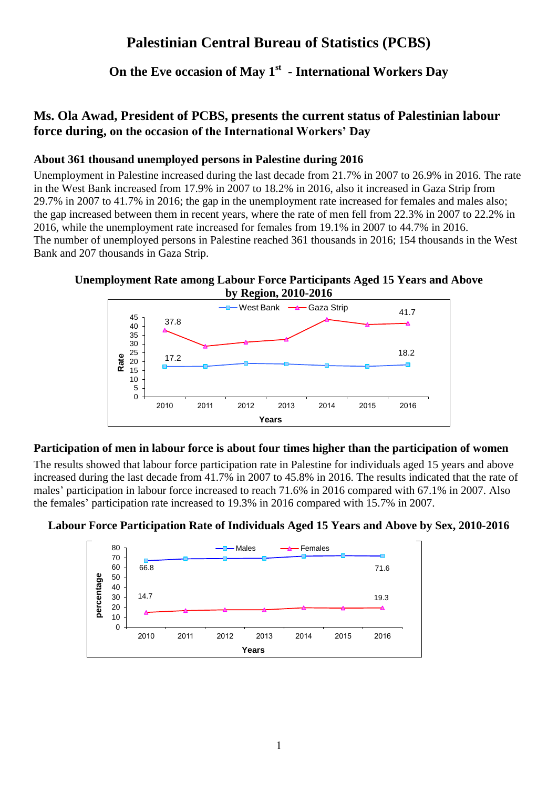# **Palestinian Central Bureau of Statistics (PCBS)**

## **On the Eve occasion of May 1st - International Workers Day**

### **Ms. Ola Awad, President of PCBS, presents the current status of Palestinian labour force during, on the occasion of the International Workers' Day**

### **About 361 thousand unemployed persons in Palestine during 2016**

Unemployment in Palestine increased during the last decade from 21.7% in 2007 to 26.9% in 2016. The rate in the West Bank increased from 17.9% in 2007 to 18.2% in 2016, also it increased in Gaza Strip from 29.7% in 2007 to 41.7% in 2016; the gap in the unemployment rate increased for females and males also; the gap increased between them in recent years, where the rate of men fell from 22.3% in 2007 to 22.2% in 2016, while the unemployment rate increased for females from 19.1% in 2007 to 44.7% in 2016. The number of unemployed persons in Palestine reached 361 thousands in 2016; 154 thousands in the West Bank and 207 thousands in Gaza Strip.

#### **Unemployment Rate among Labour Force Participants Aged 15 Years and Above by Region, 2010-2016**



#### **Participation of men in labour force is about four times higher than the participation of women**

The results showed that labour force participation rate in Palestine for individuals aged 15 years and above increased during the last decade from 41.7% in 2007 to 45.8% in 2016. The results indicated that the rate of males' participation in labour force increased to reach 71.6% in 2016 compared with 67.1% in 2007. Also the females' participation rate increased to 19.3% in 2016 compared with 15.7% in 2007.



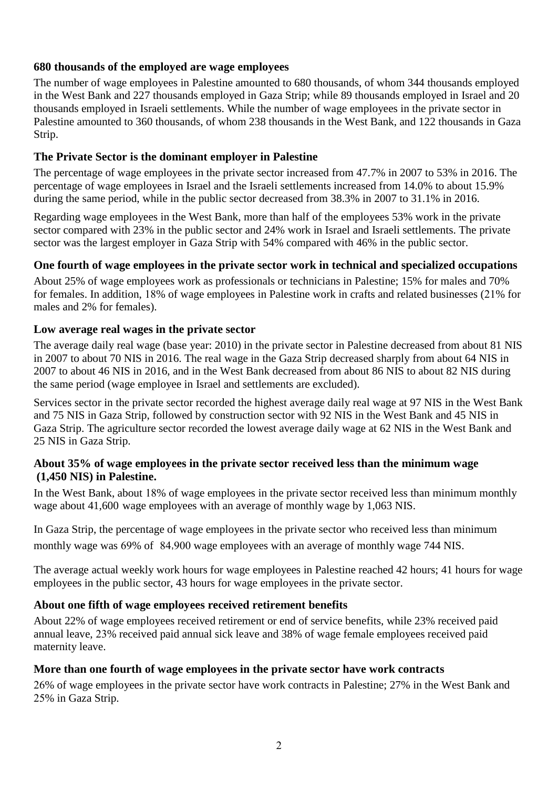#### **680 thousands of the employed are wage employees**

The number of wage employees in Palestine amounted to 680 thousands, of whom 344 thousands employed in the West Bank and 227 thousands employed in Gaza Strip; while 89 thousands employed in Israel and 20 thousands employed in Israeli settlements. While the number of wage employees in the private sector in Palestine amounted to 360 thousands, of whom 238 thousands in the West Bank, and 122 thousands in Gaza Strip.

#### **The Private Sector is the dominant employer in Palestine**

The percentage of wage employees in the private sector increased from 47.7% in 2007 to 53% in 2016. The percentage of wage employees in Israel and the Israeli settlements increased from 14.0% to about 15.9% during the same period, while in the public sector decreased from 38.3% in 2007 to 31.1% in 2016.

Regarding wage employees in the West Bank, more than half of the employees 53% work in the private sector compared with 23% in the public sector and 24% work in Israel and Israeli settlements. The private sector was the largest employer in Gaza Strip with 54% compared with 46% in the public sector.

#### **One fourth of wage employees in the private sector work in technical and specialized occupations**

About 25% of wage employees work as professionals or technicians in Palestine; 15% for males and 70% for females. In addition, 18% of wage employees in Palestine work in crafts and related businesses (21% for males and 2% for females).

#### **Low average real wages in the private sector**

The average daily real wage (base year: 2010) in the private sector in Palestine decreased from about 81 NIS in 2007 to about 70 NIS in 2016. The real wage in the Gaza Strip decreased sharply from about 64 NIS in 2007 to about 46 NIS in 2016, and in the West Bank decreased from about 86 NIS to about 82 NIS during the same period (wage employee in Israel and settlements are excluded).

Services sector in the private sector recorded the highest average daily real wage at 97 NIS in the West Bank and 75 NIS in Gaza Strip, followed by construction sector with 92 NIS in the West Bank and 45 NIS in Gaza Strip. The agriculture sector recorded the lowest average daily wage at 62 NIS in the West Bank and 25 NIS in Gaza Strip.

#### **About 35% of wage employees in the private sector received less than the minimum wage (1,450 NIS) in Palestine.**

In the West Bank, about 18% of wage employees in the private sector received less than minimum monthly wage about 41,600 wage employees with an average of monthly wage by 1,063 NIS.

In Gaza Strip, the percentage of wage employees in the private sector who received less than minimum monthly wage was 69% of 84,900 wage employees with an average of monthly wage 744 NIS.

The average actual weekly work hours for wage employees in Palestine reached 42 hours; 41 hours for wage employees in the public sector, 43 hours for wage employees in the private sector.

### **About one fifth of wage employees received retirement benefits**

About 22% of wage employees received retirement or end of service benefits, while 23% received paid annual leave, 22% received paid annual sick leave and 38% of wage female employees received paid maternity leave.

#### **More than one fourth of wage employees in the private sector have work contracts**

29% of wage employees in the private sector have work contracts in Palestine; 27% in the West Bank and 22% in Gaza Strip.